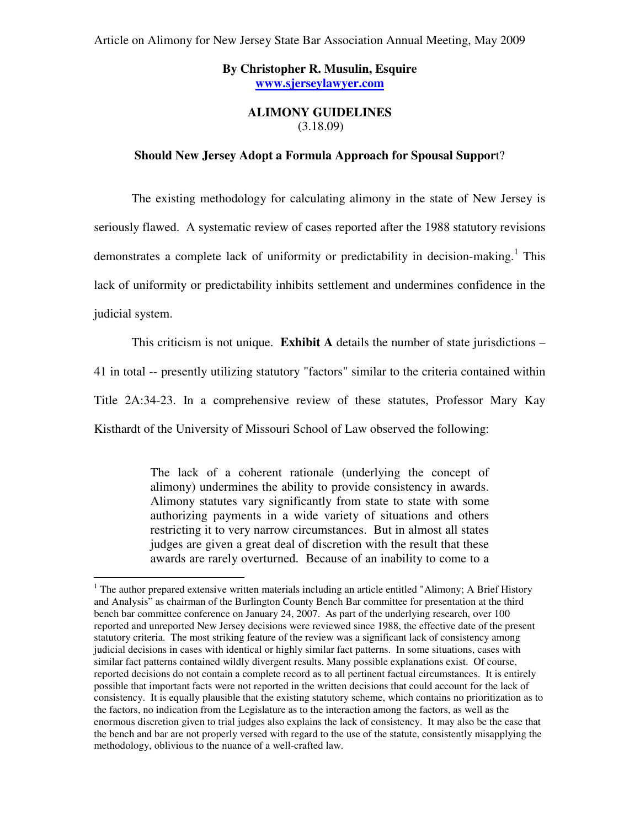# **By Christopher R. Musulin, Esquire www.sjerseylawyer.com**

# **ALIMONY GUIDELINES**  (3.18.09)

#### **Should New Jersey Adopt a Formula Approach for Spousal Suppor**t?

 The existing methodology for calculating alimony in the state of New Jersey is seriously flawed. A systematic review of cases reported after the 1988 statutory revisions demonstrates a complete lack of uniformity or predictability in decision-making.<sup>1</sup> This lack of uniformity or predictability inhibits settlement and undermines confidence in the judicial system.

This criticism is not unique. **Exhibit A** details the number of state jurisdictions –

41 in total -- presently utilizing statutory "factors" similar to the criteria contained within

Title 2A:34-23. In a comprehensive review of these statutes, Professor Mary Kay

Kisthardt of the University of Missouri School of Law observed the following:

 $\overline{a}$ 

The lack of a coherent rationale (underlying the concept of alimony) undermines the ability to provide consistency in awards. Alimony statutes vary significantly from state to state with some authorizing payments in a wide variety of situations and others restricting it to very narrow circumstances. But in almost all states judges are given a great deal of discretion with the result that these awards are rarely overturned. Because of an inability to come to a

 $1$  The author prepared extensive written materials including an article entitled "Alimony; A Brief History and Analysis" as chairman of the Burlington County Bench Bar committee for presentation at the third bench bar committee conference on January 24, 2007. As part of the underlying research, over 100 reported and unreported New Jersey decisions were reviewed since 1988, the effective date of the present statutory criteria. The most striking feature of the review was a significant lack of consistency among judicial decisions in cases with identical or highly similar fact patterns. In some situations, cases with similar fact patterns contained wildly divergent results. Many possible explanations exist. Of course, reported decisions do not contain a complete record as to all pertinent factual circumstances. It is entirely possible that important facts were not reported in the written decisions that could account for the lack of consistency. It is equally plausible that the existing statutory scheme, which contains no prioritization as to the factors, no indication from the Legislature as to the interaction among the factors, as well as the enormous discretion given to trial judges also explains the lack of consistency. It may also be the case that the bench and bar are not properly versed with regard to the use of the statute, consistently misapplying the methodology, oblivious to the nuance of a well-crafted law.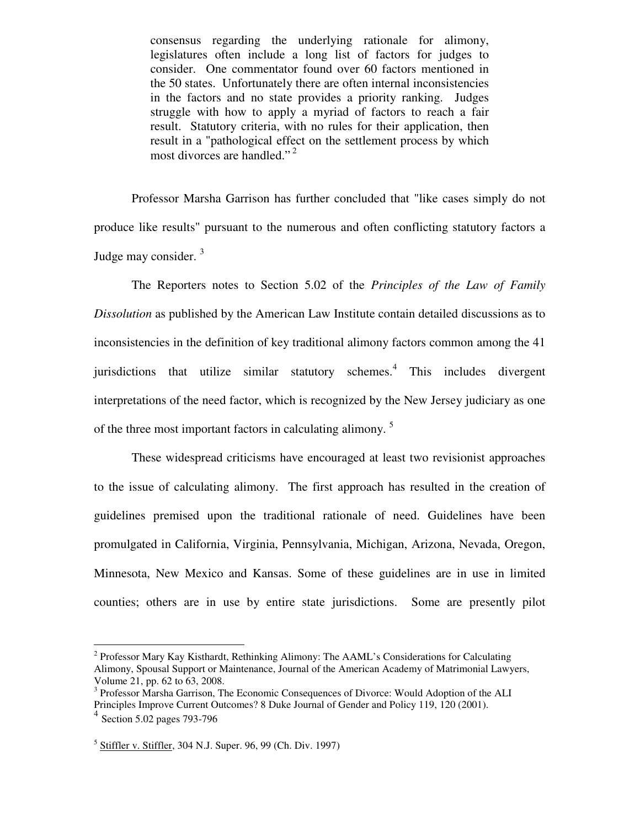consensus regarding the underlying rationale for alimony, legislatures often include a long list of factors for judges to consider. One commentator found over 60 factors mentioned in the 50 states. Unfortunately there are often internal inconsistencies in the factors and no state provides a priority ranking. Judges struggle with how to apply a myriad of factors to reach a fair result. Statutory criteria, with no rules for their application, then result in a "pathological effect on the settlement process by which most divorces are handled."<sup>2</sup>

 Professor Marsha Garrison has further concluded that "like cases simply do not produce like results" pursuant to the numerous and often conflicting statutory factors a Judge may consider.  $3$ 

 The Reporters notes to Section 5.02 of the *Principles of the Law of Family Dissolution* as published by the American Law Institute contain detailed discussions as to inconsistencies in the definition of key traditional alimony factors common among the 41 jurisdictions that utilize similar statutory schemes.<sup>4</sup> This includes divergent interpretations of the need factor, which is recognized by the New Jersey judiciary as one of the three most important factors in calculating alimony.<sup>5</sup>

 These widespread criticisms have encouraged at least two revisionist approaches to the issue of calculating alimony. The first approach has resulted in the creation of guidelines premised upon the traditional rationale of need. Guidelines have been promulgated in California, Virginia, Pennsylvania, Michigan, Arizona, Nevada, Oregon, Minnesota, New Mexico and Kansas. Some of these guidelines are in use in limited counties; others are in use by entire state jurisdictions. Some are presently pilot

 2 Professor Mary Kay Kisthardt, Rethinking Alimony: The AAML's Considerations for Calculating Alimony, Spousal Support or Maintenance, Journal of the American Academy of Matrimonial Lawyers, Volume 21, pp. 62 to 63, 2008.

<sup>&</sup>lt;sup>3</sup> Professor Marsha Garrison, The Economic Consequences of Divorce: Would Adoption of the ALI Principles Improve Current Outcomes? 8 Duke Journal of Gender and Policy 119, 120 (2001).

<sup>4</sup> Section 5.02 pages 793-796

<sup>&</sup>lt;sup>5</sup> Stiffler v. Stiffler, 304 N.J. Super. 96, 99 (Ch. Div. 1997)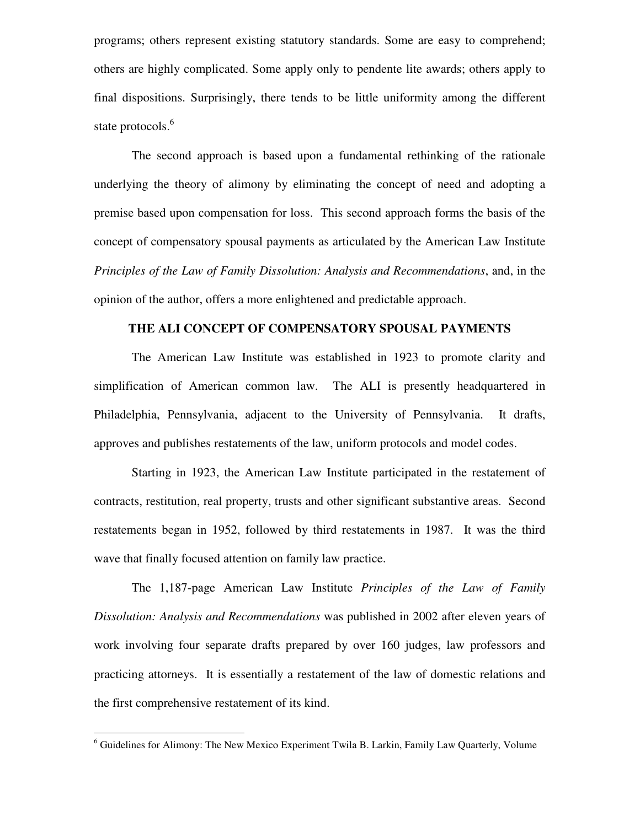programs; others represent existing statutory standards. Some are easy to comprehend; others are highly complicated. Some apply only to pendente lite awards; others apply to final dispositions. Surprisingly, there tends to be little uniformity among the different state protocols.<sup>6</sup>

 The second approach is based upon a fundamental rethinking of the rationale underlying the theory of alimony by eliminating the concept of need and adopting a premise based upon compensation for loss. This second approach forms the basis of the concept of compensatory spousal payments as articulated by the American Law Institute *Principles of the Law of Family Dissolution: Analysis and Recommendations*, and, in the opinion of the author, offers a more enlightened and predictable approach.

# **THE ALI CONCEPT OF COMPENSATORY SPOUSAL PAYMENTS**

 The American Law Institute was established in 1923 to promote clarity and simplification of American common law. The ALI is presently headquartered in Philadelphia, Pennsylvania, adjacent to the University of Pennsylvania. It drafts, approves and publishes restatements of the law, uniform protocols and model codes.

 Starting in 1923, the American Law Institute participated in the restatement of contracts, restitution, real property, trusts and other significant substantive areas. Second restatements began in 1952, followed by third restatements in 1987. It was the third wave that finally focused attention on family law practice.

 The 1,187-page American Law Institute *Principles of the Law of Family Dissolution: Analysis and Recommendations* was published in 2002 after eleven years of work involving four separate drafts prepared by over 160 judges, law professors and practicing attorneys. It is essentially a restatement of the law of domestic relations and the first comprehensive restatement of its kind.

 $\overline{a}$ 

<sup>&</sup>lt;sup>6</sup> Guidelines for Alimony: The New Mexico Experiment Twila B. Larkin, Family Law Quarterly, Volume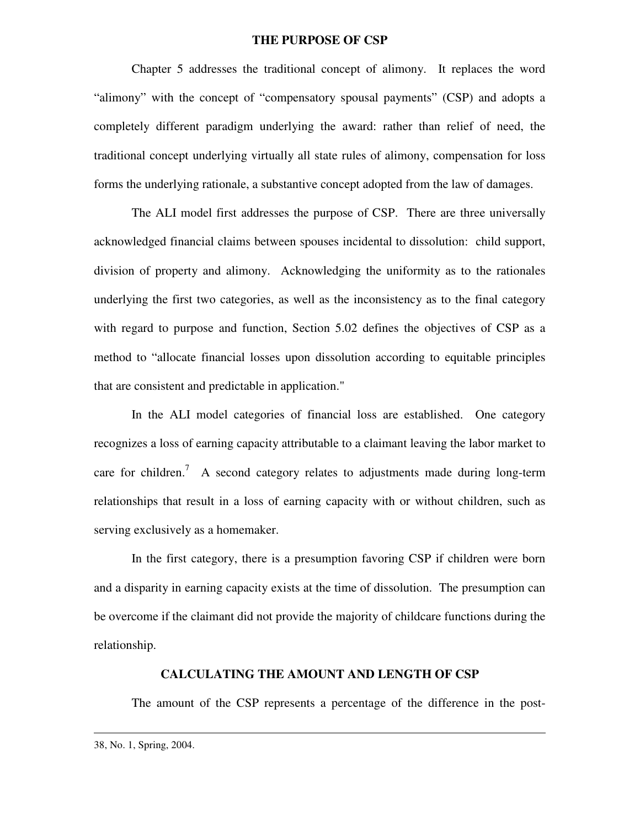## **THE PURPOSE OF CSP**

 Chapter 5 addresses the traditional concept of alimony. It replaces the word "alimony" with the concept of "compensatory spousal payments" (CSP) and adopts a completely different paradigm underlying the award: rather than relief of need, the traditional concept underlying virtually all state rules of alimony, compensation for loss forms the underlying rationale, a substantive concept adopted from the law of damages.

 The ALI model first addresses the purpose of CSP. There are three universally acknowledged financial claims between spouses incidental to dissolution: child support, division of property and alimony. Acknowledging the uniformity as to the rationales underlying the first two categories, as well as the inconsistency as to the final category with regard to purpose and function, Section 5.02 defines the objectives of CSP as a method to "allocate financial losses upon dissolution according to equitable principles that are consistent and predictable in application."

 In the ALI model categories of financial loss are established. One category recognizes a loss of earning capacity attributable to a claimant leaving the labor market to care for children.<sup>7</sup> A second category relates to adjustments made during long-term relationships that result in a loss of earning capacity with or without children, such as serving exclusively as a homemaker.

 In the first category, there is a presumption favoring CSP if children were born and a disparity in earning capacity exists at the time of dissolution. The presumption can be overcome if the claimant did not provide the majority of childcare functions during the relationship.

# **CALCULATING THE AMOUNT AND LENGTH OF CSP**

The amount of the CSP represents a percentage of the difference in the post-

 $\overline{a}$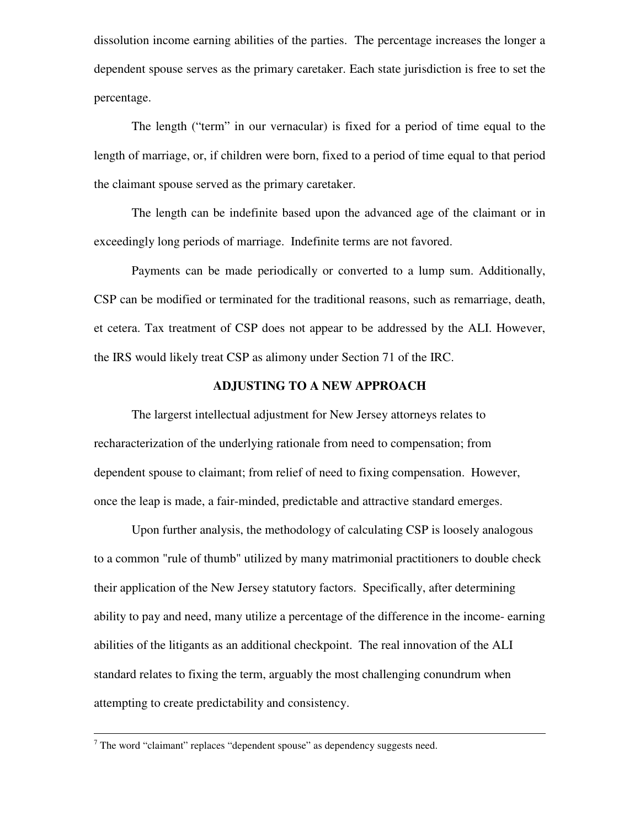dissolution income earning abilities of the parties. The percentage increases the longer a dependent spouse serves as the primary caretaker. Each state jurisdiction is free to set the percentage.

 The length ("term" in our vernacular) is fixed for a period of time equal to the length of marriage, or, if children were born, fixed to a period of time equal to that period the claimant spouse served as the primary caretaker.

 The length can be indefinite based upon the advanced age of the claimant or in exceedingly long periods of marriage. Indefinite terms are not favored.

 Payments can be made periodically or converted to a lump sum. Additionally, CSP can be modified or terminated for the traditional reasons, such as remarriage, death, et cetera. Tax treatment of CSP does not appear to be addressed by the ALI. However, the IRS would likely treat CSP as alimony under Section 71 of the IRC.

## **ADJUSTING TO A NEW APPROACH**

 The largerst intellectual adjustment for New Jersey attorneys relates to recharacterization of the underlying rationale from need to compensation; from dependent spouse to claimant; from relief of need to fixing compensation. However, once the leap is made, a fair-minded, predictable and attractive standard emerges.

 Upon further analysis, the methodology of calculating CSP is loosely analogous to a common "rule of thumb" utilized by many matrimonial practitioners to double check their application of the New Jersey statutory factors. Specifically, after determining ability to pay and need, many utilize a percentage of the difference in the income- earning abilities of the litigants as an additional checkpoint. The real innovation of the ALI standard relates to fixing the term, arguably the most challenging conundrum when attempting to create predictability and consistency.

 $\overline{a}$ 

 $7$  The word "claimant" replaces "dependent spouse" as dependency suggests need.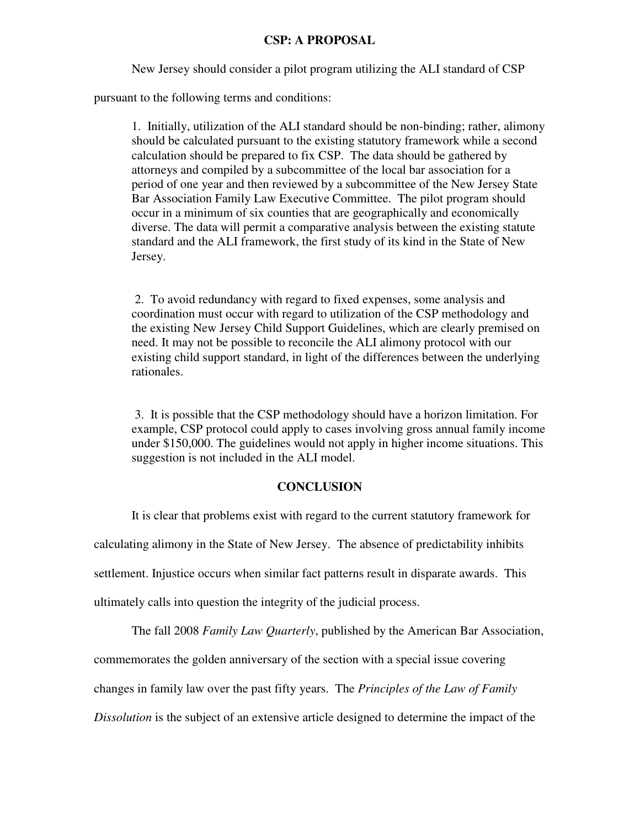## **CSP: A PROPOSAL**

New Jersey should consider a pilot program utilizing the ALI standard of CSP

pursuant to the following terms and conditions:

 1. Initially, utilization of the ALI standard should be non-binding; rather, alimony should be calculated pursuant to the existing statutory framework while a second calculation should be prepared to fix CSP. The data should be gathered by attorneys and compiled by a subcommittee of the local bar association for a period of one year and then reviewed by a subcommittee of the New Jersey State Bar Association Family Law Executive Committee. The pilot program should occur in a minimum of six counties that are geographically and economically diverse. The data will permit a comparative analysis between the existing statute standard and the ALI framework, the first study of its kind in the State of New Jersey.

2. To avoid redundancy with regard to fixed expenses, some analysis and coordination must occur with regard to utilization of the CSP methodology and the existing New Jersey Child Support Guidelines, which are clearly premised on need. It may not be possible to reconcile the ALI alimony protocol with our existing child support standard, in light of the differences between the underlying rationales.

3. It is possible that the CSP methodology should have a horizon limitation. For example, CSP protocol could apply to cases involving gross annual family income under \$150,000. The guidelines would not apply in higher income situations. This suggestion is not included in the ALI model.

#### **CONCLUSION**

 It is clear that problems exist with regard to the current statutory framework for calculating alimony in the State of New Jersey. The absence of predictability inhibits settlement. Injustice occurs when similar fact patterns result in disparate awards. This ultimately calls into question the integrity of the judicial process.

 The fall 2008 *Family Law Quarterly*, published by the American Bar Association, commemorates the golden anniversary of the section with a special issue covering changes in family law over the past fifty years. The *Principles of the Law of Family Dissolution* is the subject of an extensive article designed to determine the impact of the